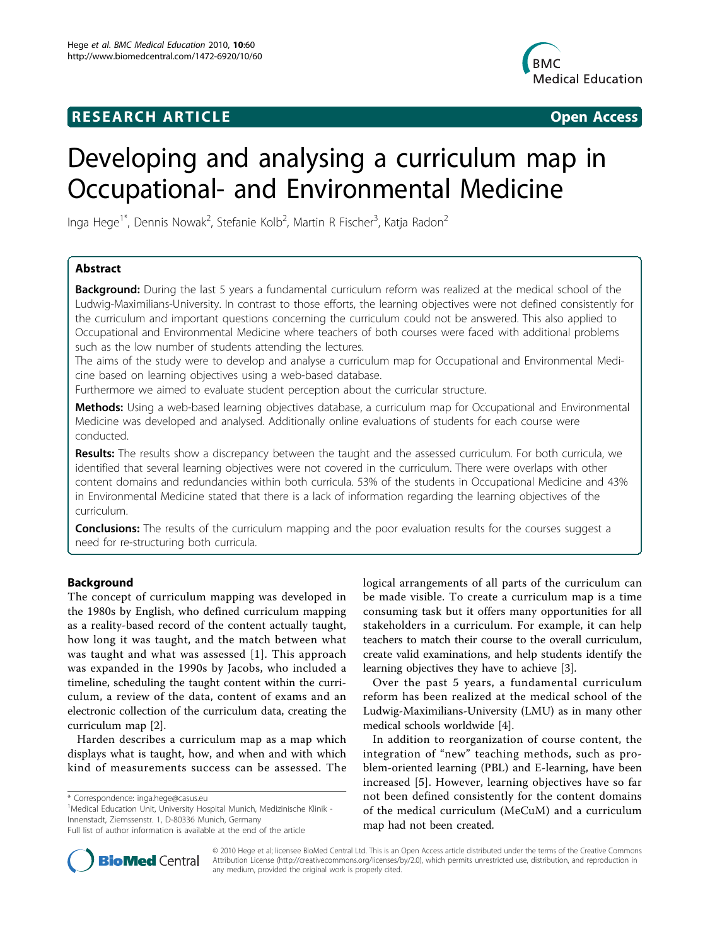## **RESEARCH ARTICLE Example 2018 CONSIDERING ACCESS**



# Developing and analysing a curriculum map in Occupational- and Environmental Medicine

Inga Hege<sup>1\*</sup>, Dennis Nowak<sup>2</sup>, Stefanie Kolb<sup>2</sup>, Martin R Fischer<sup>3</sup>, Katja Radon<sup>2</sup>

## Abstract

**Background:** During the last 5 years a fundamental curriculum reform was realized at the medical school of the Ludwig-Maximilians-University. In contrast to those efforts, the learning objectives were not defined consistently for the curriculum and important questions concerning the curriculum could not be answered. This also applied to Occupational and Environmental Medicine where teachers of both courses were faced with additional problems such as the low number of students attending the lectures.

The aims of the study were to develop and analyse a curriculum map for Occupational and Environmental Medicine based on learning objectives using a web-based database.

Furthermore we aimed to evaluate student perception about the curricular structure.

Methods: Using a web-based learning objectives database, a curriculum map for Occupational and Environmental Medicine was developed and analysed. Additionally online evaluations of students for each course were conducted.

Results: The results show a discrepancy between the taught and the assessed curriculum. For both curricula, we identified that several learning objectives were not covered in the curriculum. There were overlaps with other content domains and redundancies within both curricula. 53% of the students in Occupational Medicine and 43% in Environmental Medicine stated that there is a lack of information regarding the learning objectives of the curriculum.

**Conclusions:** The results of the curriculum mapping and the poor evaluation results for the courses suggest a need for re-structuring both curricula.

## Background

The concept of curriculum mapping was developed in the 1980s by English, who defined curriculum mapping as a reality-based record of the content actually taught, how long it was taught, and the match between what was taught and what was assessed [\[1\]](#page-5-0). This approach was expanded in the 1990s by Jacobs, who included a timeline, scheduling the taught content within the curriculum, a review of the data, content of exams and an electronic collection of the curriculum data, creating the curriculum map [\[2](#page-5-0)].

Harden describes a curriculum map as a map which displays what is taught, how, and when and with which kind of measurements success can be assessed. The

\* Correspondence: [inga.hege@casus.eu](mailto:inga.hege@casus.eu)

<sup>1</sup> Medical Education Unit, University Hospital Munich, Medizinische Klinik -Innenstadt, Ziemssenstr. 1, D-80336 Munich, Germany

logical arrangements of all parts of the curriculum can be made visible. To create a curriculum map is a time consuming task but it offers many opportunities for all stakeholders in a curriculum. For example, it can help teachers to match their course to the overall curriculum, create valid examinations, and help students identify the learning objectives they have to achieve [[3\]](#page-5-0).

Over the past 5 years, a fundamental curriculum reform has been realized at the medical school of the Ludwig-Maximilians-University (LMU) as in many other medical schools worldwide [\[4](#page-5-0)].

In addition to reorganization of course content, the integration of "new" teaching methods, such as problem-oriented learning (PBL) and E-learning, have been increased [\[5](#page-5-0)]. However, learning objectives have so far not been defined consistently for the content domains of the medical curriculum (MeCuM) and a curriculum map had not been created.



© 2010 Hege et al; licensee BioMed Central Ltd. This is an Open Access article distributed under the terms of the Creative Commons Attribution License [\(http://creativecommons.org/licenses/by/2.0](http://creativecommons.org/licenses/by/2.0)), which permits unrestricted use, distribution, and reproduction in any medium, provided the original work is properly cited.

Full list of author information is available at the end of the article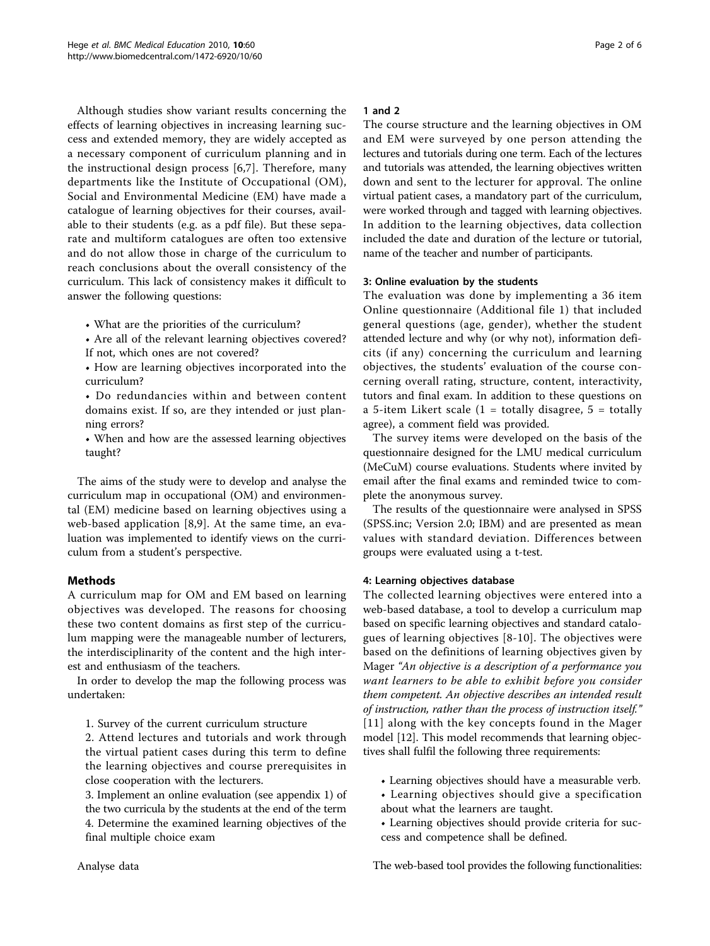Although studies show variant results concerning the effects of learning objectives in increasing learning success and extended memory, they are widely accepted as a necessary component of curriculum planning and in the instructional design process [[6,7](#page-5-0)]. Therefore, many departments like the Institute of Occupational (OM), Social and Environmental Medicine (EM) have made a catalogue of learning objectives for their courses, available to their students (e.g. as a pdf file). But these separate and multiform catalogues are often too extensive and do not allow those in charge of the curriculum to reach conclusions about the overall consistency of the curriculum. This lack of consistency makes it difficult to answer the following questions:

• What are the priorities of the curriculum?

- Are all of the relevant learning objectives covered? If not, which ones are not covered?
- How are learning objectives incorporated into the curriculum?
- Do redundancies within and between content domains exist. If so, are they intended or just planning errors?
- When and how are the assessed learning objectives taught?

The aims of the study were to develop and analyse the curriculum map in occupational (OM) and environmental (EM) medicine based on learning objectives using a web-based application [[8,9](#page-5-0)]. At the same time, an evaluation was implemented to identify views on the curriculum from a student's perspective.

## Methods

A curriculum map for OM and EM based on learning objectives was developed. The reasons for choosing these two content domains as first step of the curriculum mapping were the manageable number of lecturers, the interdisciplinarity of the content and the high interest and enthusiasm of the teachers.

In order to develop the map the following process was undertaken:

1. Survey of the current curriculum structure

2. Attend lectures and tutorials and work through the virtual patient cases during this term to define the learning objectives and course prerequisites in close cooperation with the lecturers.

3. Implement an online evaluation (see appendix 1) of the two curricula by the students at the end of the term 4. Determine the examined learning objectives of the final multiple choice exam

### 1 and 2

The course structure and the learning objectives in OM and EM were surveyed by one person attending the lectures and tutorials during one term. Each of the lectures and tutorials was attended, the learning objectives written down and sent to the lecturer for approval. The online virtual patient cases, a mandatory part of the curriculum, were worked through and tagged with learning objectives. In addition to the learning objectives, data collection included the date and duration of the lecture or tutorial, name of the teacher and number of participants.

### 3: Online evaluation by the students

The evaluation was done by implementing a 36 item Online questionnaire (Additional file [1](#page-4-0)) that included general questions (age, gender), whether the student attended lecture and why (or why not), information deficits (if any) concerning the curriculum and learning objectives, the students' evaluation of the course concerning overall rating, structure, content, interactivity, tutors and final exam. In addition to these questions on a 5-item Likert scale  $(1 =$  totally disagree,  $5 =$  totally agree), a comment field was provided.

The survey items were developed on the basis of the questionnaire designed for the LMU medical curriculum (MeCuM) course evaluations. Students where invited by email after the final exams and reminded twice to complete the anonymous survey.

The results of the questionnaire were analysed in SPSS (SPSS.inc; Version 2.0; IBM) and are presented as mean values with standard deviation. Differences between groups were evaluated using a t-test.

## 4: Learning objectives database

The collected learning objectives were entered into a web-based database, a tool to develop a curriculum map based on specific learning objectives and standard catalogues of learning objectives [[8](#page-5-0)-[10](#page-5-0)]. The objectives were based on the definitions of learning objectives given by Mager "An objective is a description of a performance you want learners to be able to exhibit before you consider them competent. An objective describes an intended result of instruction, rather than the process of instruction itself." [[11\]](#page-5-0) along with the key concepts found in the Mager model [\[12\]](#page-5-0). This model recommends that learning objectives shall fulfil the following three requirements:

- Learning objectives should have a measurable verb.
- Learning objectives should give a specification about what the learners are taught.
- Learning objectives should provide criteria for success and competence shall be defined.

The web-based tool provides the following functionalities: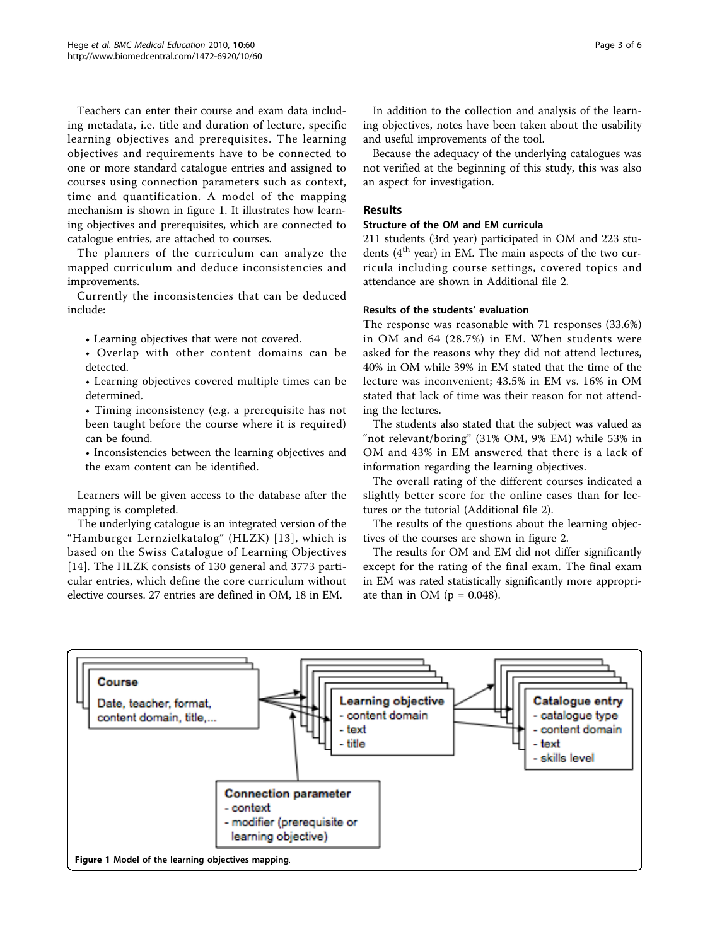Teachers can enter their course and exam data including metadata, i.e. title and duration of lecture, specific learning objectives and prerequisites. The learning objectives and requirements have to be connected to one or more standard catalogue entries and assigned to courses using connection parameters such as context, time and quantification. A model of the mapping mechanism is shown in figure 1. It illustrates how learning objectives and prerequisites, which are connected to catalogue entries, are attached to courses.

The planners of the curriculum can analyze the mapped curriculum and deduce inconsistencies and improvements.

Currently the inconsistencies that can be deduced include:

• Learning objectives that were not covered.

• Overlap with other content domains can be detected.

• Learning objectives covered multiple times can be determined.

• Timing inconsistency (e.g. a prerequisite has not been taught before the course where it is required) can be found.

• Inconsistencies between the learning objectives and the exam content can be identified.

Learners will be given access to the database after the mapping is completed.

The underlying catalogue is an integrated version of the "Hamburger Lernzielkatalog" (HLZK) [[13](#page-5-0)], which is based on the Swiss Catalogue of Learning Objectives [[14](#page-5-0)]. The HLZK consists of 130 general and 3773 particular entries, which define the core curriculum without elective courses. 27 entries are defined in OM, 18 in EM.

In addition to the collection and analysis of the learning objectives, notes have been taken about the usability and useful improvements of the tool.

Because the adequacy of the underlying catalogues was not verified at the beginning of this study, this was also an aspect for investigation.

#### Results

#### Structure of the OM and EM curricula

211 students (3rd year) participated in OM and 223 students  $(4<sup>th</sup>$  year) in EM. The main aspects of the two curricula including course settings, covered topics and attendance are shown in Additional file [2](#page-4-0).

#### Results of the students' evaluation

The response was reasonable with 71 responses (33.6%) in OM and 64 (28.7%) in EM. When students were asked for the reasons why they did not attend lectures, 40% in OM while 39% in EM stated that the time of the lecture was inconvenient; 43.5% in EM vs. 16% in OM stated that lack of time was their reason for not attending the lectures.

The students also stated that the subject was valued as "not relevant/boring" (31% OM, 9% EM) while 53% in OM and 43% in EM answered that there is a lack of information regarding the learning objectives.

The overall rating of the different courses indicated a slightly better score for the online cases than for lectures or the tutorial (Additional file [2](#page-4-0)).

The results of the questions about the learning objectives of the courses are shown in figure [2](#page-3-0).

The results for OM and EM did not differ significantly except for the rating of the final exam. The final exam in EM was rated statistically significantly more appropriate than in OM ( $p = 0.048$ ).

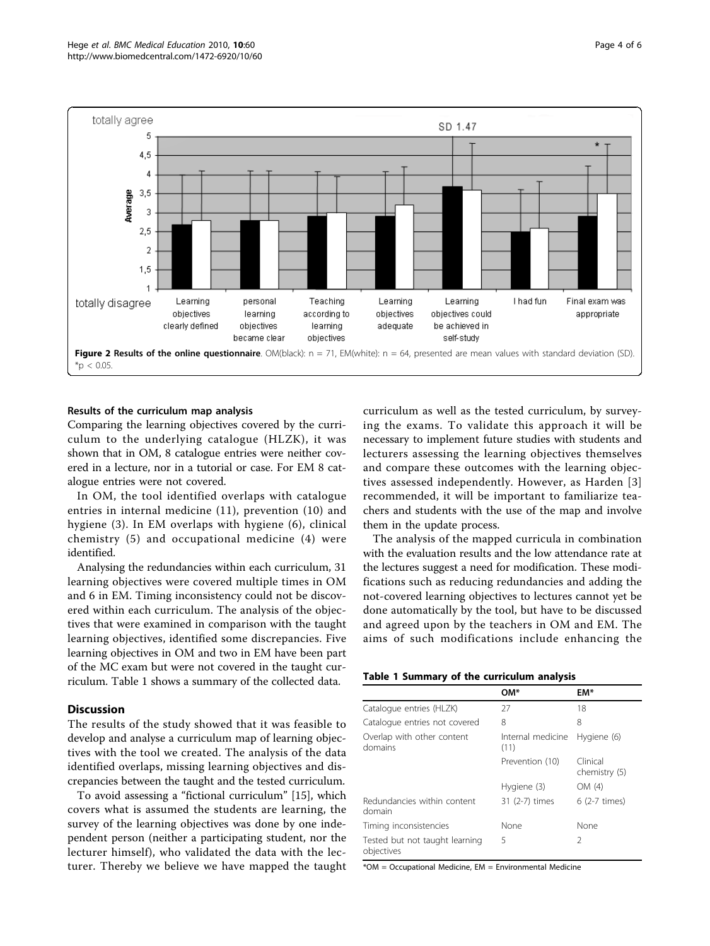<span id="page-3-0"></span>

## Results of the curriculum map analysis

Comparing the learning objectives covered by the curriculum to the underlying catalogue (HLZK), it was shown that in OM, 8 catalogue entries were neither covered in a lecture, nor in a tutorial or case. For EM 8 catalogue entries were not covered.

In OM, the tool identified overlaps with catalogue entries in internal medicine (11), prevention (10) and hygiene (3). In EM overlaps with hygiene (6), clinical chemistry (5) and occupational medicine (4) were identified.

Analysing the redundancies within each curriculum, 31 learning objectives were covered multiple times in OM and 6 in EM. Timing inconsistency could not be discovered within each curriculum. The analysis of the objectives that were examined in comparison with the taught learning objectives, identified some discrepancies. Five learning objectives in OM and two in EM have been part of the MC exam but were not covered in the taught curriculum. Table 1 shows a summary of the collected data.

## **Discussion**

The results of the study showed that it was feasible to develop and analyse a curriculum map of learning objectives with the tool we created. The analysis of the data identified overlaps, missing learning objectives and discrepancies between the taught and the tested curriculum.

To avoid assessing a "fictional curriculum" [[15](#page-5-0)], which covers what is assumed the students are learning, the survey of the learning objectives was done by one independent person (neither a participating student, nor the lecturer himself), who validated the data with the lecturer. Thereby we believe we have mapped the taught curriculum as well as the tested curriculum, by surveying the exams. To validate this approach it will be necessary to implement future studies with students and lecturers assessing the learning objectives themselves and compare these outcomes with the learning objectives assessed independently. However, as Harden [[3](#page-5-0)] recommended, it will be important to familiarize teachers and students with the use of the map and involve them in the update process.

The analysis of the mapped curricula in combination with the evaluation results and the low attendance rate at the lectures suggest a need for modification. These modifications such as reducing redundancies and adding the not-covered learning objectives to lectures cannot yet be done automatically by the tool, but have to be discussed and agreed upon by the teachers in OM and EM. The aims of such modifications include enhancing the

| Table 1 Summary of the curriculum analysis |  |  |  |  |  |
|--------------------------------------------|--|--|--|--|--|
|--------------------------------------------|--|--|--|--|--|

|                                              | OM*                       | EM*                       |
|----------------------------------------------|---------------------------|---------------------------|
| Catalogue entries (HLZK)                     | 27                        | 18                        |
| Catalogue entries not covered                | 8                         | 8                         |
| Overlap with other content<br>domains        | Internal medicine<br>(11) | Hygiene (6)               |
|                                              | Prevention (10)           | Clinical<br>chemistry (5) |
|                                              | Hygiene (3)               | OM (4)                    |
| Redundancies within content<br>domain        | 31 (2-7) times            | 6 (2-7 times)             |
| Timing inconsistencies                       | None                      | None                      |
| Tested but not taught learning<br>objectives | 5                         | 2                         |

\*OM = Occupational Medicine, EM = Environmental Medicine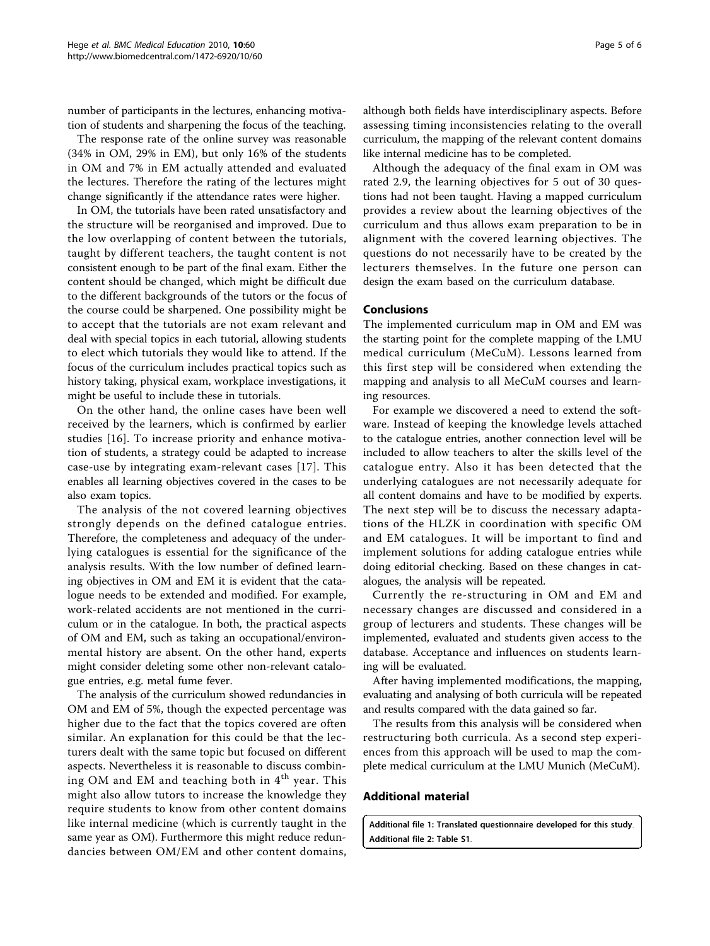<span id="page-4-0"></span>number of participants in the lectures, enhancing motivation of students and sharpening the focus of the teaching.

The response rate of the online survey was reasonable (34% in OM, 29% in EM), but only 16% of the students in OM and 7% in EM actually attended and evaluated the lectures. Therefore the rating of the lectures might change significantly if the attendance rates were higher.

In OM, the tutorials have been rated unsatisfactory and the structure will be reorganised and improved. Due to the low overlapping of content between the tutorials, taught by different teachers, the taught content is not consistent enough to be part of the final exam. Either the content should be changed, which might be difficult due to the different backgrounds of the tutors or the focus of the course could be sharpened. One possibility might be to accept that the tutorials are not exam relevant and deal with special topics in each tutorial, allowing students to elect which tutorials they would like to attend. If the focus of the curriculum includes practical topics such as history taking, physical exam, workplace investigations, it might be useful to include these in tutorials.

On the other hand, the online cases have been well received by the learners, which is confirmed by earlier studies [[16](#page-5-0)]. To increase priority and enhance motivation of students, a strategy could be adapted to increase case-use by integrating exam-relevant cases [[17](#page-5-0)]. This enables all learning objectives covered in the cases to be also exam topics.

The analysis of the not covered learning objectives strongly depends on the defined catalogue entries. Therefore, the completeness and adequacy of the underlying catalogues is essential for the significance of the analysis results. With the low number of defined learning objectives in OM and EM it is evident that the catalogue needs to be extended and modified. For example, work-related accidents are not mentioned in the curriculum or in the catalogue. In both, the practical aspects of OM and EM, such as taking an occupational/environmental history are absent. On the other hand, experts might consider deleting some other non-relevant catalogue entries, e.g. metal fume fever.

The analysis of the curriculum showed redundancies in OM and EM of 5%, though the expected percentage was higher due to the fact that the topics covered are often similar. An explanation for this could be that the lecturers dealt with the same topic but focused on different aspects. Nevertheless it is reasonable to discuss combining OM and EM and teaching both in  $4<sup>th</sup>$  year. This might also allow tutors to increase the knowledge they require students to know from other content domains like internal medicine (which is currently taught in the same year as OM). Furthermore this might reduce redundancies between OM/EM and other content domains, Page 5 of 6

although both fields have interdisciplinary aspects. Before assessing timing inconsistencies relating to the overall curriculum, the mapping of the relevant content domains like internal medicine has to be completed.

Although the adequacy of the final exam in OM was rated 2.9, the learning objectives for 5 out of 30 questions had not been taught. Having a mapped curriculum provides a review about the learning objectives of the curriculum and thus allows exam preparation to be in alignment with the covered learning objectives. The questions do not necessarily have to be created by the lecturers themselves. In the future one person can design the exam based on the curriculum database.

#### Conclusions

The implemented curriculum map in OM and EM was the starting point for the complete mapping of the LMU medical curriculum (MeCuM). Lessons learned from this first step will be considered when extending the mapping and analysis to all MeCuM courses and learning resources.

For example we discovered a need to extend the software. Instead of keeping the knowledge levels attached to the catalogue entries, another connection level will be included to allow teachers to alter the skills level of the catalogue entry. Also it has been detected that the underlying catalogues are not necessarily adequate for all content domains and have to be modified by experts. The next step will be to discuss the necessary adaptations of the HLZK in coordination with specific OM and EM catalogues. It will be important to find and implement solutions for adding catalogue entries while doing editorial checking. Based on these changes in catalogues, the analysis will be repeated.

Currently the re-structuring in OM and EM and necessary changes are discussed and considered in a group of lecturers and students. These changes will be implemented, evaluated and students given access to the database. Acceptance and influences on students learning will be evaluated.

After having implemented modifications, the mapping, evaluating and analysing of both curricula will be repeated and results compared with the data gained so far.

The results from this analysis will be considered when restructuring both curricula. As a second step experiences from this approach will be used to map the complete medical curriculum at the LMU Munich (MeCuM).

### Additional material

[Additional file 1: T](http://www.biomedcentral.com/content/supplementary/1472-6920-10-60-S1.PDF)ranslated questionnaire developed for this study. [Additional file 2: T](http://www.biomedcentral.com/content/supplementary/1472-6920-10-60-S2.DOC)able S1.